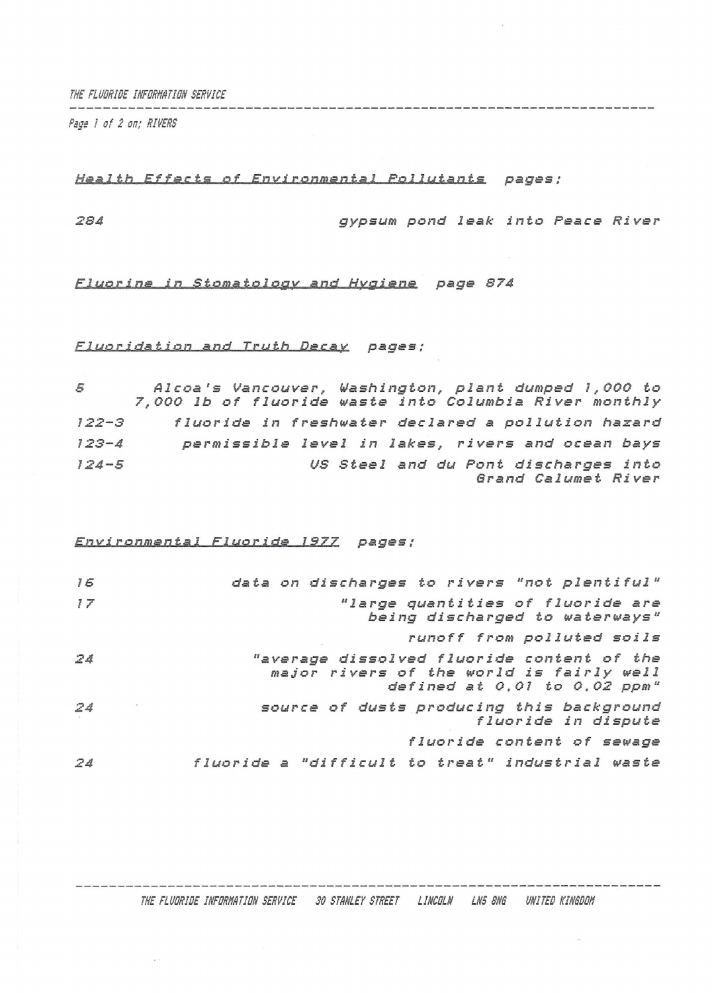*THE FLUORIDE INFORMATION SERVICE*

*Psge I of 2 on; RIVERS*

## *Health Effects of Environmental Pollutants pages ;*

```
284 gypsum pond leak into Peace River
```
## *Fluorine in Stomatology and Hygiene page 874*

## *Fluoridation and Truth Decay pages ;*

| 5         | Alcoa's Vancouver, Washington, plant dumped 1,000 to<br>7,000 lb of fluoride waste into Columbia River monthly |
|-----------|----------------------------------------------------------------------------------------------------------------|
| $122 - 3$ | fluoride in freshwater declared a pollution hazard                                                             |
| $123 - 4$ | permissible level in lakes, rivers and ocean bays                                                              |
| $124 - 5$ | US Steel and du Pont discharges into<br>Grand Calumet River                                                    |

## *Environmental Fluoride 1977 pages ;*

| 16 | data on discharges to rivers "not plentiful"                                                                               |
|----|----------------------------------------------------------------------------------------------------------------------------|
| 17 | "large quantities of fluoride are<br>being discharged to waterways"                                                        |
|    | runoff from polluted soils                                                                                                 |
| 24 | "average dissolved fluoride content of the<br>major rivers of the world is fairly well<br>defined at $0,01$ to $0,02$ ppm" |
| 24 | source of dusts producing this background<br>fluoride in dispute                                                           |
|    | fluoride content of sewage                                                                                                 |
| Z4 | fluoride a "difficult to treat" industrial waste                                                                           |